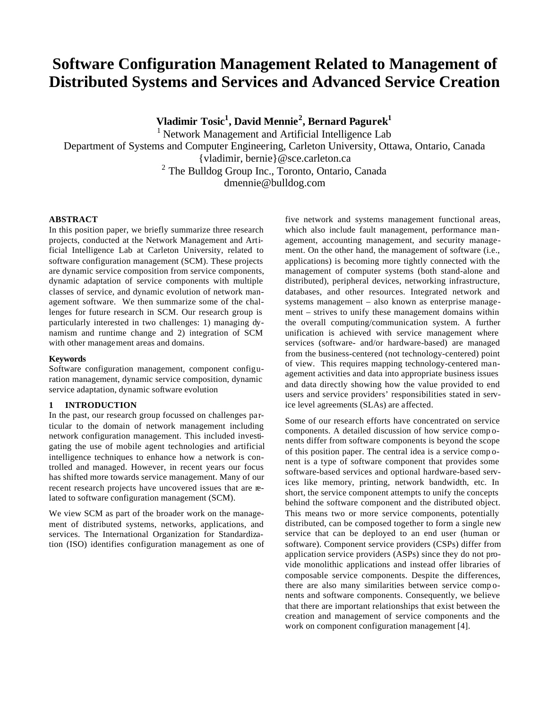# **Software Configuration Management Related to Management of Distributed Systems and Services and Advanced Service Creation**

**Vladimir Tosic<sup>1</sup> , David Mennie<sup>2</sup> , Bernard Pagurek<sup>1</sup>**

 $1$  Network Management and Artificial Intelligence Lab Department of Systems and Computer Engineering, Carleton University, Ottawa, Ontario, Canada {vladimir, bernie}@sce.carleton.ca <sup>2</sup> The Bulldog Group Inc., Toronto, Ontario, Canada dmennie@bulldog.com

# **ABSTRACT**

In this position paper, we briefly summarize three research projects, conducted at the Network Management and Artificial Intelligence Lab at Carleton University, related to software configuration management (SCM). These projects are dynamic service composition from service components, dynamic adaptation of service components with multiple classes of service, and dynamic evolution of network management software. We then summarize some of the challenges for future research in SCM. Our research group is particularly interested in two challenges: 1) managing dynamism and runtime change and 2) integration of SCM with other management areas and domains.

### **Keywords**

Software configuration management, component configuration management, dynamic service composition, dynamic service adaptation, dynamic software evolution

### **1 INTRODUCTION**

In the past, our research group focussed on challenges particular to the domain of network management including network configuration management. This included investigating the use of mobile agent technologies and artificial intelligence techniques to enhance how a network is controlled and managed. However, in recent years our focus has shifted more towards service management. Many of our recent research projects have uncovered issues that are related to software configuration management (SCM).

We view SCM as part of the broader work on the management of distributed systems, networks, applications, and services. The International Organization for Standardization (ISO) identifies configuration management as one of five network and systems management functional areas, which also include fault management, performance management, accounting management, and security management. On the other hand, the management of software (i.e., applications) is becoming more tightly connected with the management of computer systems (both stand-alone and distributed), peripheral devices, networking infrastructure, databases, and other resources. Integrated network and systems management – also known as enterprise management – strives to unify these management domains within the overall computing/communication system. A further unification is achieved with service management where services (software- and/or hardware-based) are managed from the business-centered (not technology-centered) point of view. This requires mapping technology-centered management activities and data into appropriate business issues and data directly showing how the value provided to end users and service providers' responsibilities stated in service level agreements (SLAs) are affected.

Some of our research efforts have concentrated on service components. A detailed discussion of how service comp onents differ from software components is beyond the scope of this position paper. The central idea is a service comp onent is a type of software component that provides some software-based services and optional hardware-based services like memory, printing, network bandwidth, etc. In short, the service component attempts to unify the concepts behind the software component and the distributed object. This means two or more service components, potentially distributed, can be composed together to form a single new service that can be deployed to an end user (human or software). Component service providers (CSPs) differ from application service providers (ASPs) since they do not provide monolithic applications and instead offer libraries of composable service components. Despite the differences, there are also many similarities between service comp onents and software components. Consequently, we believe that there are important relationships that exist between the creation and management of service components and the work on component configuration management [4].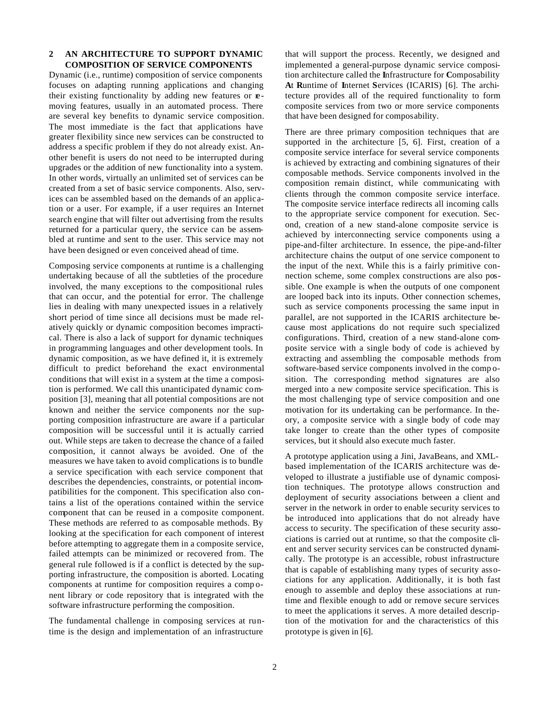# **2 AN ARCHITECTURE TO SUPPORT DYNAMIC COMPOSITION OF SERVICE COMPONENTS**

Dynamic (i.e., runtime) composition of service components focuses on adapting running applications and changing their existing functionality by adding new features or **e**moving features, usually in an automated process. There are several key benefits to dynamic service composition. The most immediate is the fact that applications have greater flexibility since new services can be constructed to address a specific problem if they do not already exist. Another benefit is users do not need to be interrupted during upgrades or the addition of new functionality into a system. In other words, virtually an unlimited set of services can be created from a set of basic service components. Also, services can be assembled based on the demands of an application or a user. For example, if a user requires an Internet search engine that will filter out advertising from the results returned for a particular query, the service can be assembled at runtime and sent to the user. This service may not have been designed or even conceived ahead of time.

Composing service components at runtime is a challenging undertaking because of all the subtleties of the procedure involved, the many exceptions to the compositional rules that can occur, and the potential for error. The challenge lies in dealing with many unexpected issues in a relatively short period of time since all decisions must be made relatively quickly or dynamic composition becomes impractical. There is also a lack of support for dynamic techniques in programming languages and other development tools. In dynamic composition, as we have defined it, it is extremely difficult to predict beforehand the exact environmental conditions that will exist in a system at the time a composition is performed. We call this unanticipated dynamic composition [3], meaning that all potential compositions are not known and neither the service components nor the supporting composition infrastructure are aware if a particular composition will be successful until it is actually carried out. While steps are taken to decrease the chance of a failed composition, it cannot always be avoided. One of the measures we have taken to avoid complications is to bundle a service specification with each service component that describes the dependencies, constraints, or potential incompatibilities for the component. This specification also contains a list of the operations contained within the service component that can be reused in a composite component. These methods are referred to as composable methods. By looking at the specification for each component of interest before attempting to aggregate them in a composite service, failed attempts can be minimized or recovered from. The general rule followed is if a conflict is detected by the supporting infrastructure, the composition is aborted. Locating components at runtime for composition requires a comp onent library or code repository that is integrated with the software infrastructure performing the composition.

The fundamental challenge in composing services at runtime is the design and implementation of an infrastructure

that will support the process. Recently, we designed and implemented a general-purpose dynamic service composition architecture called the **I**nfrastructure for **C**omposability **A**t **R**untime of **I**nternet **S**ervices (ICARIS) [6]. The architecture provides all of the required functionality to form composite services from two or more service components that have been designed for composability.

There are three primary composition techniques that are supported in the architecture [5, 6]. First, creation of a composite service interface for several service components is achieved by extracting and combining signatures of their composable methods. Service components involved in the composition remain distinct, while communicating with clients through the common composite service interface. The composite service interface redirects all incoming calls to the appropriate service component for execution. Second, creation of a new stand-alone composite service is achieved by interconnecting service components using a pipe-and-filter architecture. In essence, the pipe-and-filter architecture chains the output of one service component to the input of the next. While this is a fairly primitive connection scheme, some complex constructions are also possible. One example is when the outputs of one component are looped back into its inputs. Other connection schemes, such as service components processing the same input in parallel, are not supported in the ICARIS architecture because most applications do not require such specialized configurations. Third, creation of a new stand-alone composite service with a single body of code is achieved by extracting and assembling the composable methods from software-based service components involved in the comp osition. The corresponding method signatures are also merged into a new composite service specification. This is the most challenging type of service composition and one motivation for its undertaking can be performance. In theory, a composite service with a single body of code may take longer to create than the other types of composite services, but it should also execute much faster.

A prototype application using a Jini, JavaBeans, and XMLbased implementation of the ICARIS architecture was developed to illustrate a justifiable use of dynamic composition techniques. The prototype allows construction and deployment of security associations between a client and server in the network in order to enable security services to be introduced into applications that do not already have access to security. The specification of these security associations is carried out at runtime, so that the composite client and server security services can be constructed dynamically. The prototype is an accessible, robust infrastructure that is capable of establishing many types of security associations for any application. Additionally, it is both fast enough to assemble and deploy these associations at runtime and flexible enough to add or remove secure services to meet the applications it serves. A more detailed description of the motivation for and the characteristics of this prototype is given in [6].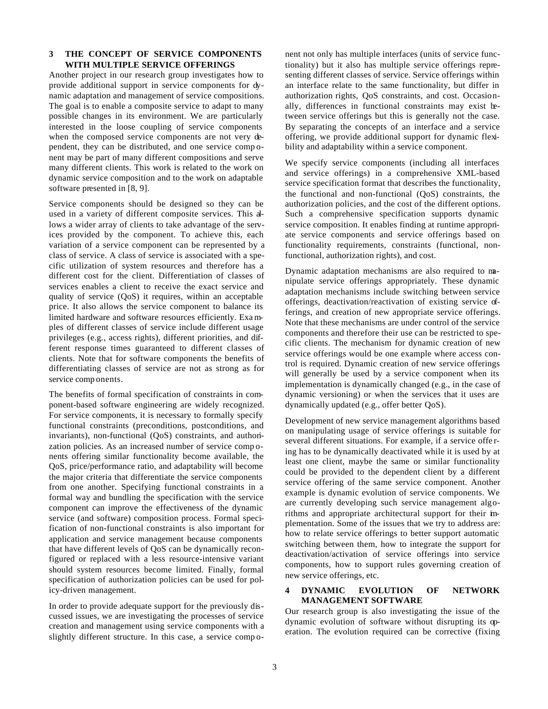# **3 THE CONCEPT OF SERVICE COMPONENTS WITH MULTIPLE SERVICE OFFERINGS**

Another project in our research group investigates how to provide additional support in service components for dynamic adaptation and management of service compositions. The goal is to enable a composite service to adapt to many possible changes in its environment. We are particularly interested in the loose coupling of service components when the composed service components are not very dependent, they can be distributed, and one service comp onent may be part of many different compositions and serve many different clients. This work is related to the work on dynamic service composition and to the work on adaptable software presented in [8, 9].

Service components should be designed so they can be used in a variety of different composite services. This allows a wider array of clients to take advantage of the services provided by the component. To achieve this, each variation of a service component can be represented by a class of service. A class of service is associated with a specific utilization of system resources and therefore has a different cost for the client. Differentiation of classes of services enables a client to receive the exact service and quality of service (QoS) it requires, within an acceptable price. It also allows the service component to balance its limited hardware and software resources efficiently. Exa mples of different classes of service include different usage privileges (e.g., access rights), different priorities, and different response times guaranteed to different classes of clients. Note that for software components the benefits of differentiating classes of service are not as strong as for service comp onents.

The benefits of formal specification of constraints in component-based software engineering are widely recognized. For service components, it is necessary to formally specify functional constraints (preconditions, postconditions, and invariants), non-functional (QoS) constraints, and authorization policies. As an increased number of service comp onents offering similar functionality become available, the QoS, price/performance ratio, and adaptability will become the major criteria that differentiate the service components from one another. Specifying functional constraints in a formal way and bundling the specification with the service component can improve the effectiveness of the dynamic service (and software) composition process. Formal specification of non-functional constraints is also important for application and service management because components that have different levels of QoS can be dynamically reconfigured or replaced with a less resource-intensive variant should system resources become limited. Finally, formal specification of authorization policies can be used for policy-driven management.

In order to provide adequate support for the previously discussed issues, we are investigating the processes of service creation and management using service components with a slightly different structure. In this case, a service comp onent not only has multiple interfaces (units of service functionality) but it also has multiple service offerings representing different classes of service. Service offerings within an interface relate to the same functionality, but differ in authorization rights, QoS constraints, and cost. Occasionally, differences in functional constraints may exist between service offerings but this is generally not the case. By separating the concepts of an interface and a service offering, we provide additional support for dynamic flexibility and adaptability within a service component.

We specify service components (including all interfaces and service offerings) in a comprehensive XML-based service specification format that describes the functionality, the functional and non-functional (QoS) constraints, the authorization policies, and the cost of the different options. Such a comprehensive specification supports dynamic service composition. It enables finding at runtime appropriate service components and service offerings based on functionality requirements, constraints (functional, nonfunctional, authorization rights), and cost.

Dynamic adaptation mechanisms are also required to manipulate service offerings appropriately. These dynamic adaptation mechanisms include switching between service offerings, deactivation/reactivation of existing service offerings, and creation of new appropriate service offerings. Note that these mechanisms are under control of the service components and therefore their use can be restricted to specific clients. The mechanism for dynamic creation of new service offerings would be one example where access control is required. Dynamic creation of new service offerings will generally be used by a service component when its implementation is dynamically changed (e.g., in the case of dynamic versioning) or when the services that it uses are dynamically updated (e.g., offer better QoS).

Development of new service management algorithms based on manipulating usage of service offerings is suitable for several different situations. For example, if a service offe ring has to be dynamically deactivated while it is used by at least one client, maybe the same or similar functionality could be provided to the dependent client by a different service offering of the same service component. Another example is dynamic evolution of service components. We are currently developing such service management algorithms and appropriate architectural support for their implementation. Some of the issues that we try to address are: how to relate service offerings to better support automatic switching between them, how to integrate the support for deactivation/activation of service offerings into service components, how to support rules governing creation of new service offerings, etc.

### **4 DYNAMIC EVOLUTION OF NETWORK MANAGEMENT SOFTWARE**

Our research group is also investigating the issue of the dynamic evolution of software without disrupting its operation. The evolution required can be corrective (fixing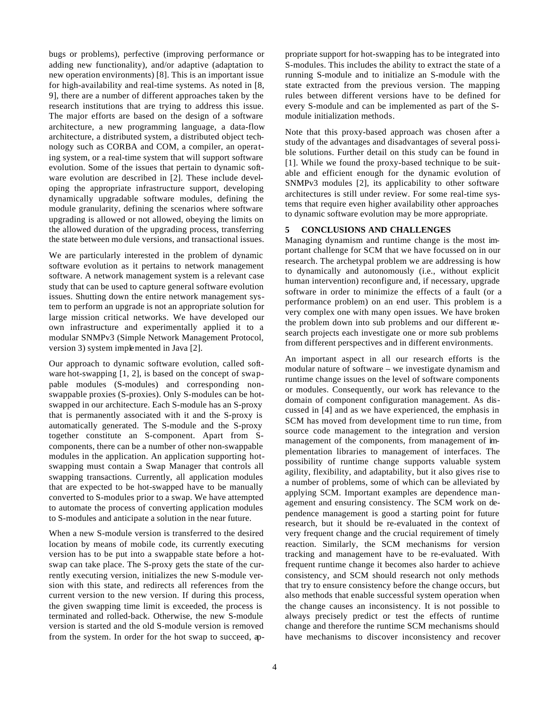bugs or problems), perfective (improving performance or adding new functionality), and/or adaptive (adaptation to new operation environments) [8]. This is an important issue for high-availability and real-time systems. As noted in [8, 9], there are a number of different approaches taken by the research institutions that are trying to address this issue. The major efforts are based on the design of a software architecture, a new programming language, a data-flow architecture, a distributed system, a distributed object technology such as CORBA and COM, a compiler, an operating system, or a real-time system that will support software evolution. Some of the issues that pertain to dynamic software evolution are described in [2]. These include developing the appropriate infrastructure support, developing dynamically upgradable software modules, defining the module granularity, defining the scenarios where software upgrading is allowed or not allowed, obeying the limits on the allowed duration of the upgrading process, transferring the state between mo dule versions, and transactional issues.

We are particularly interested in the problem of dynamic software evolution as it pertains to network management software. A network management system is a relevant case study that can be used to capture general software evolution issues. Shutting down the entire network management system to perform an upgrade is not an appropriate solution for large mission critical networks. We have developed our own infrastructure and experimentally applied it to a modular SNMPv3 (Simple Network Management Protocol, version 3) system implemented in Java [2].

Our approach to dynamic software evolution, called software hot-swapping [1, 2], is based on the concept of swappable modules (S-modules) and corresponding nonswappable proxies (S-proxies). Only S-modules can be hotswapped in our architecture. Each S-module has an S-proxy that is permanently associated with it and the S-proxy is automatically generated. The S-module and the S-proxy together constitute an S-component. Apart from Scomponents, there can be a number of other non-swappable modules in the application. An application supporting hotswapping must contain a Swap Manager that controls all swapping transactions. Currently, all application modules that are expected to be hot-swapped have to be manually converted to S-modules prior to a swap. We have attempted to automate the process of converting application modules to S-modules and anticipate a solution in the near future.

When a new S-module version is transferred to the desired location by means of mobile code, its currently executing version has to be put into a swappable state before a hotswap can take place. The S-proxy gets the state of the currently executing version, initializes the new S-module version with this state, and redirects all references from the current version to the new version. If during this process, the given swapping time limit is exceeded, the process is terminated and rolled-back. Otherwise, the new S-module version is started and the old S-module version is removed from the system. In order for the hot swap to succeed, appropriate support for hot-swapping has to be integrated into S-modules. This includes the ability to extract the state of a running S-module and to initialize an S-module with the state extracted from the previous version. The mapping rules between different versions have to be defined for every S-module and can be implemented as part of the Smodule initialization methods.

Note that this proxy-based approach was chosen after a study of the advantages and disadvantages of several possible solutions. Further detail on this study can be found in [1]. While we found the proxy-based technique to be suitable and efficient enough for the dynamic evolution of SNMPv3 modules [2], its applicability to other software architectures is still under review. For some real-time systems that require even higher availability other approaches to dynamic software evolution may be more appropriate.

# **5 CONCLUSIONS AND CHALLENGES**

Managing dynamism and runtime change is the most important challenge for SCM that we have focussed on in our research. The archetypal problem we are addressing is how to dynamically and autonomously (i.e., without explicit human intervention) reconfigure and, if necessary, upgrade software in order to minimize the effects of a fault (or a performance problem) on an end user. This problem is a very complex one with many open issues. We have broken the problem down into sub problems and our different research projects each investigate one or more sub problems from different perspectives and in different environments.

An important aspect in all our research efforts is the modular nature of software – we investigate dynamism and runtime change issues on the level of software components or modules. Consequently, our work has relevance to the domain of component configuration management. As discussed in [4] and as we have experienced, the emphasis in SCM has moved from development time to run time, from source code management to the integration and version management of the components, from management of implementation libraries to management of interfaces. The possibility of runtime change supports valuable system agility, flexibility, and adaptability, but it also gives rise to a number of problems, some of which can be alleviated by applying SCM. Important examples are dependence management and ensuring consistency. The SCM work on dependence management is good a starting point for future research, but it should be re-evaluated in the context of very frequent change and the crucial requirement of timely reaction. Similarly, the SCM mechanisms for version tracking and management have to be re-evaluated. With frequent runtime change it becomes also harder to achieve consistency, and SCM should research not only methods that try to ensure consistency before the change occurs, but also methods that enable successful system operation when the change causes an inconsistency. It is not possible to always precisely predict or test the effects of runtime change and therefore the runtime SCM mechanisms should have mechanisms to discover inconsistency and recover